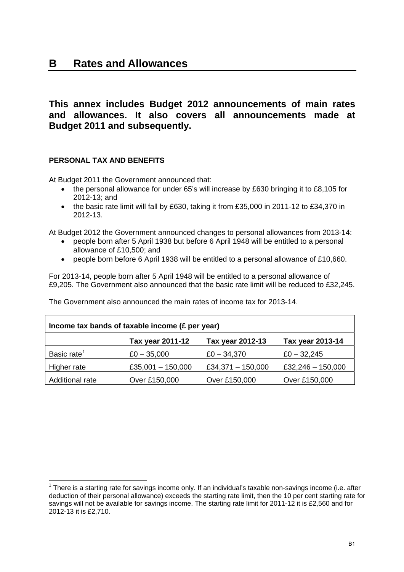## **B Rates and Allowances**

## **This annex includes Budget 2012 announcements of main rates and allowances. It also covers all announcements made at Budget 2011 and subsequently.**

### **PERSONAL TAX AND BENEFITS**

At Budget 2011 the Government announced that:

- the personal allowance for under 65's will increase by £630 bringing it to £8,105 for 2012-13; and
- the basic rate limit will fall by £630, taking it from £35,000 in 2011-12 to £34,370 in 2012-13.

At Budget 2012 the Government announced changes to personal allowances from 2013-14:

- people born after 5 April 1938 but before 6 April 1948 will be entitled to a personal allowance of £10,500; and
- people born before 6 April 1938 will be entitled to a personal allowance of £10,660.

For 2013-14, people born after 5 April 1948 will be entitled to a personal allowance of £9,205. The Government also announced that the basic rate limit will be reduced to £32,245.

| Income tax bands of taxable income (£ per year) |                     |                     |                     |
|-------------------------------------------------|---------------------|---------------------|---------------------|
|                                                 | Tax year 2011-12    | Tax year 2012-13    | Tax year 2013-14    |
| Basic rate <sup>1</sup>                         | $£0 - 35,000$       | $£0 - 34,370$       | $£0 - 32,245$       |
| Higher rate                                     | £35,001 $-$ 150,000 | £34,371 $-$ 150,000 | £32,246 $-$ 150,000 |
| Additional rate                                 | Over £150,000       | Over £150,000       | Over £150,000       |

The Government also announced the main rates of income tax for 2013-14.

<span id="page-0-0"></span>  $1$  There is a starting rate for savings income only. If an individual's taxable non-savings income (i.e. after deduction of their personal allowance) exceeds the starting rate limit, then the 10 per cent starting rate for savings will not be available for savings income. The starting rate limit for 2011-12 it is £2,560 and for 2012-13 it is £2,710.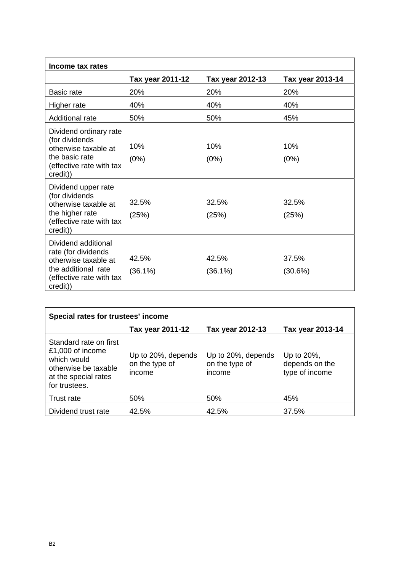| Income tax rates                                                                                                                  |                     |                     |                  |
|-----------------------------------------------------------------------------------------------------------------------------------|---------------------|---------------------|------------------|
|                                                                                                                                   | Tax year 2011-12    | Tax year 2012-13    | Tax year 2013-14 |
| Basic rate                                                                                                                        | 20%                 | 20%                 | 20%              |
| Higher rate                                                                                                                       | 40%                 | 40%                 | 40%              |
| Additional rate                                                                                                                   | 50%                 | 50%                 | 45%              |
| Dividend ordinary rate<br>(for dividends<br>otherwise taxable at<br>the basic rate<br>(effective rate with tax<br>credit))        | 10%<br>$(0\%)$      | 10%<br>(0%)         | 10%<br>(0%)      |
| Dividend upper rate<br>(for dividends)<br>otherwise taxable at<br>the higher rate<br>(effective rate with tax<br>credit))         | 32.5%<br>(25%)      | 32.5%<br>(25%)      | 32.5%<br>(25%)   |
| Dividend additional<br>rate (for dividends<br>otherwise taxable at<br>the additional rate<br>(effective rate with tax<br>credit)) | 42.5%<br>$(36.1\%)$ | 42.5%<br>$(36.1\%)$ | 37.5%<br>(30.6%) |

| Special rates for trustees' income                                                                                         |                                                |                                                |                                                |  |
|----------------------------------------------------------------------------------------------------------------------------|------------------------------------------------|------------------------------------------------|------------------------------------------------|--|
|                                                                                                                            | Tax year 2011-12                               | Tax year 2012-13                               | Tax year 2013-14                               |  |
| Standard rate on first<br>£1,000 of income<br>which would<br>otherwise be taxable<br>at the special rates<br>for trustees. | Up to 20%, depends<br>on the type of<br>income | Up to 20%, depends<br>on the type of<br>income | Up to 20%,<br>depends on the<br>type of income |  |
| Trust rate                                                                                                                 | 50%                                            | 50%                                            | 45%                                            |  |
| Dividend trust rate                                                                                                        | 42.5%                                          | 42.5%                                          | 37.5%                                          |  |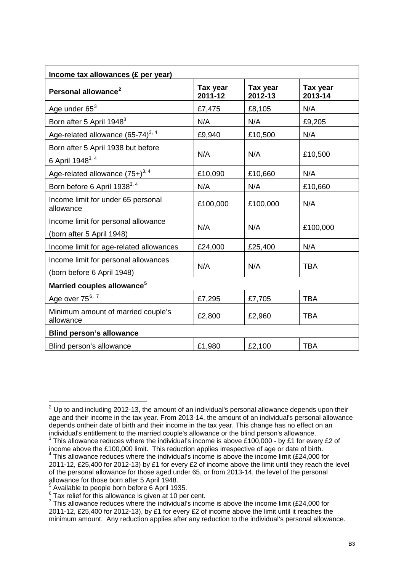| Income tax allowances (£ per year)                                 |                     |                     |                     |
|--------------------------------------------------------------------|---------------------|---------------------|---------------------|
| Personal allowance <sup>2</sup>                                    | Tax year<br>2011-12 | Tax year<br>2012-13 | Tax year<br>2013-14 |
| Age under $65^3$                                                   | £7,475              | £8,105              | N/A                 |
| Born after 5 April 1948 <sup>3</sup>                               | N/A                 | N/A                 | £9,205              |
| Age-related allowance (65-74) <sup>3, 4</sup>                      | £9,940              | £10,500             | N/A                 |
| Born after 5 April 1938 but before<br>6 April 1948 <sup>3, 4</sup> | N/A                 | N/A                 | £10,500             |
| Age-related allowance (75+) <sup>3, 4</sup>                        | £10,090             | £10,660             | N/A                 |
| Born before 6 April 1938 <sup>3, 4</sup>                           | N/A                 | N/A                 | £10,660             |
| Income limit for under 65 personal<br>allowance                    | £100,000            | £100,000            | N/A                 |
| Income limit for personal allowance<br>(born after 5 April 1948)   | N/A                 | N/A                 | £100,000            |
| Income limit for age-related allowances                            | £24,000             | £25,400             | N/A                 |
| Income limit for personal allowances<br>(born before 6 April 1948) | N/A                 | N/A                 | <b>TBA</b>          |
| Married couples allowance <sup>5</sup>                             |                     |                     |                     |
| Age over $75^{6,7}$                                                | £7,295              | £7,705              | <b>TBA</b>          |
| Minimum amount of married couple's<br>allowance                    | £2,800              | £2,960              | <b>TBA</b>          |
| <b>Blind person's allowance</b>                                    |                     |                     |                     |
| Blind person's allowance                                           | £1,980              | £2,100              | <b>TBA</b>          |

<span id="page-2-0"></span> $^{2}$  Up to and including 2012-13, the amount of an individual's personal allowance depends upon their age and their income in the tax year. From 2013-14, the amount of an individual's personal allowance depends ontheir date of birth and their income in the tax year. This change has no effect on an individual's entitlement to the married couple's allowance or the blind person's allowance.

<span id="page-2-2"></span><span id="page-2-1"></span> $3$  This allowance reduces where the individual's income is above £100,000 - by £1 for every £2 of income above the £100,000 limit. This reduction applies irrespective of age or date of birth. 4  $4$  This allowance reduces where the individual's income is above the income limit (£24,000 for 2011-12, £25,400 for 2012-13) by £1 for every £2 of income above the limit until they reach the level of the personal allowance for those aged under 65, or from 2013-14, the level of the personal allowance for those born after 5 April 1948.

<span id="page-2-3"></span><sup>&</sup>lt;sup>5</sup> Available to people born before 6 April 1935.

<span id="page-2-4"></span> $6$  Tax relief for this allowance is given at 10 per cent.

<span id="page-2-5"></span> $7$  This allowance reduces where the individual's income is above the income limit (£24,000 for 2011-12, £25,400 for 2012-13), by £1 for every £2 of income above the limit until it reaches the minimum amount. Any reduction applies after any reduction to the individual's personal allowance.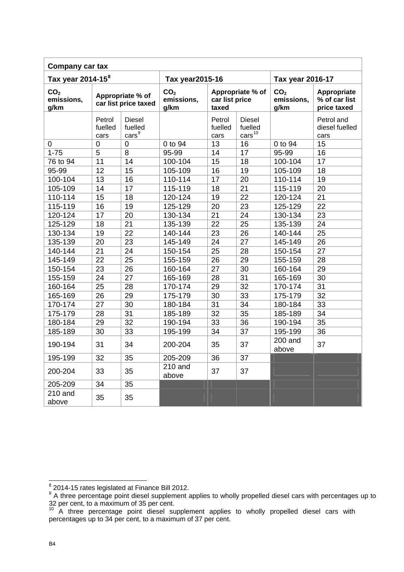| Company car tax                                                       |                           |                                             |                                       |                           |                                                |                                       |                                             |
|-----------------------------------------------------------------------|---------------------------|---------------------------------------------|---------------------------------------|---------------------------|------------------------------------------------|---------------------------------------|---------------------------------------------|
| Tax year 2014-15 <sup>8</sup><br>Tax year 2015-16<br>Tax year 2016-17 |                           |                                             |                                       |                           |                                                |                                       |                                             |
| CO <sub>2</sub><br>emissions,<br>g/km                                 |                           | Appropriate % of<br>car list price taxed    | CO <sub>2</sub><br>emissions,<br>g/km | car list price<br>taxed   | Appropriate % of                               | CO <sub>2</sub><br>emissions,<br>g/km | Appropriate<br>% of car list<br>price taxed |
|                                                                       | Petrol<br>fuelled<br>cars | <b>Diesel</b><br>fuelled<br>$\text{cars}^9$ |                                       | Petrol<br>fuelled<br>cars | <b>Diesel</b><br>fuelled<br>cars <sup>10</sup> |                                       | Petrol and<br>diesel fuelled<br>cars        |
| 0                                                                     | $\overline{0}$            | $\overline{0}$                              | 0 to 94                               | 13                        | 16                                             | 0 to 94                               | 15                                          |
| $1 - 75$                                                              | 5                         | 8                                           | 95-99                                 | 14                        | 17                                             | 95-99                                 | 16                                          |
| 76 to 94                                                              | 11                        | 14                                          | 100-104                               | 15                        | 18                                             | 100-104                               | 17                                          |
| 95-99                                                                 | 12                        | 15                                          | 105-109                               | 16                        | 19                                             | 105-109                               | 18                                          |
| 100-104                                                               | $\overline{13}$           | $\overline{16}$                             | 110-114                               | 17                        | $\overline{20}$                                | 110-114                               | $\overline{19}$                             |
| 105-109                                                               | 14                        | 17                                          | 115-119                               | 18                        | 21                                             | 115-119                               | 20                                          |
| 110-114                                                               | 15                        | 18                                          | 120-124                               | 19                        | 22                                             | 120-124                               | 21                                          |
| 115-119                                                               | 16                        | 19                                          | 125-129                               | 20                        | 23                                             | 125-129                               | 22                                          |
| 120-124                                                               | 17                        | 20                                          | 130-134                               | 21                        | 24                                             | 130-134                               | 23                                          |
| 125-129                                                               | 18                        | 21                                          | 135-139                               | 22                        | 25                                             | 135-139                               | 24                                          |
| 130-134                                                               | 19                        | 22                                          | 140-144                               | 23                        | 26                                             | 140-144                               | 25                                          |
| 135-139                                                               | 20                        | 23                                          | 145-149                               | 24                        | 27                                             | 145-149                               | 26                                          |
| 140-144                                                               | 21                        | 24                                          | 150-154                               | 25                        | 28                                             | 150-154                               | 27                                          |
| 145-149                                                               | 22                        | 25                                          | 155-159                               | 26                        | 29                                             | 155-159                               | 28                                          |
| 150-154                                                               | 23                        | 26                                          | 160-164                               | 27                        | 30                                             | 160-164                               | 29                                          |
| 155-159                                                               | 24                        | 27                                          | 165-169                               | 28                        | 31                                             | 165-169                               | 30                                          |
| 160-164                                                               | 25                        | 28                                          | 170-174                               | 29                        | 32                                             | 170-174                               | 31                                          |
| 165-169                                                               | $\overline{26}$           | 29                                          | 175-179                               | 30                        | 33                                             | 175-179                               | $\overline{32}$                             |
| 170-174                                                               | 27                        | 30                                          | 180-184                               | 31                        | 34                                             | 180-184                               | 33                                          |
| 175-179                                                               | 28                        | 31                                          | 185-189                               | 32                        | 35                                             | 185-189                               | 34                                          |
| 180-184                                                               | 29                        | 32                                          | 190-194                               | 33                        | 36                                             | 190-194                               | 35                                          |
| 185-189                                                               | 30                        | 33                                          | 195-199                               | 34                        | 37                                             | 195-199                               | 36                                          |
| 190-194                                                               | 31                        | 34                                          | 200-204                               | 35                        | 37                                             | 200 and<br>above                      | 37                                          |
| 195-199                                                               | 32                        | 35                                          | 205-209                               | 36                        | 37                                             |                                       |                                             |
| 200-204                                                               | 33                        | 35                                          | $210$ and<br>above                    | 37                        | 37                                             |                                       |                                             |
| 205-209                                                               | 34                        | 35                                          |                                       |                           |                                                |                                       |                                             |
| 210 and<br>above                                                      | 35                        | 35                                          |                                       |                           |                                                |                                       |                                             |

<span id="page-3-1"></span><span id="page-3-0"></span>

e<br><sup>8</sup> 2014-15 rates legislated at Finance Bill 2012.<br><sup>9</sup> A three percentage point diesel supplement applies to wholly propelled diesel cars with percentages up to 32 per cent, to a maximum of 35 per cent.

<span id="page-3-2"></span> $10$  A three percentage point diesel supplement applies to wholly propelled diesel cars with percentages up to 34 per cent, to a maximum of 37 per cent.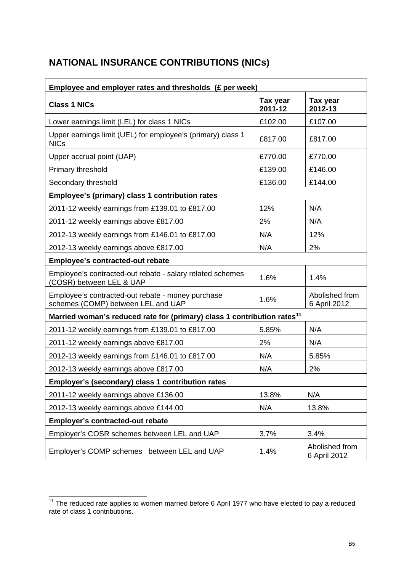# **NATIONAL INSURANCE CONTRIBUTIONS (NICs)**

| Employee and employer rates and thresholds (£ per week)                                 |                     |                                |  |
|-----------------------------------------------------------------------------------------|---------------------|--------------------------------|--|
| <b>Class 1 NICs</b>                                                                     | Tax year<br>2011-12 | Tax year<br>2012-13            |  |
| Lower earnings limit (LEL) for class 1 NICs                                             | £102.00             | £107.00                        |  |
| Upper earnings limit (UEL) for employee's (primary) class 1<br><b>NICs</b>              | £817.00             | £817.00                        |  |
| Upper accrual point (UAP)                                                               | £770.00             | £770.00                        |  |
| Primary threshold                                                                       | £139.00             | £146.00                        |  |
| Secondary threshold                                                                     | £136.00             | £144.00                        |  |
| Employee's (primary) class 1 contribution rates                                         |                     |                                |  |
| 2011-12 weekly earnings from £139.01 to £817.00                                         | 12%                 | N/A                            |  |
| 2011-12 weekly earnings above £817.00                                                   | 2%                  | N/A                            |  |
| 2012-13 weekly earnings from £146.01 to £817.00                                         | N/A                 | 12%                            |  |
| 2012-13 weekly earnings above £817.00                                                   | N/A                 | 2%                             |  |
| <b>Employee's contracted-out rebate</b>                                                 |                     |                                |  |
| Employee's contracted-out rebate - salary related schemes<br>(COSR) between LEL & UAP   | 1.6%                | 1.4%                           |  |
| Employee's contracted-out rebate - money purchase<br>schemes (COMP) between LEL and UAP | 1.6%                | Abolished from<br>6 April 2012 |  |
| Married woman's reduced rate for (primary) class 1 contribution rates <sup>11</sup>     |                     |                                |  |
| 2011-12 weekly earnings from £139.01 to £817.00                                         | 5.85%               | N/A                            |  |
| 2011-12 weekly earnings above £817.00                                                   | 2%                  | N/A                            |  |
| 2012-13 weekly earnings from £146.01 to £817.00                                         | N/A                 | 5.85%                          |  |
| 2012-13 weekly earnings above £817.00                                                   | N/A                 | 2%                             |  |
| Employer's (secondary) class 1 contribution rates                                       |                     |                                |  |
| 2011-12 weekly earnings above £136.00                                                   | 13.8%               | N/A                            |  |
| 2012-13 weekly earnings above £144.00                                                   | N/A                 | 13.8%                          |  |
| <b>Employer's contracted-out rebate</b>                                                 |                     |                                |  |
| Employer's COSR schemes between LEL and UAP                                             | 3.7%                | 3.4%                           |  |
| Employer's COMP schemes between LEL and UAP                                             | 1.4%                | Abolished from<br>6 April 2012 |  |

<span id="page-4-0"></span> $11$  The reduced rate applies to women married before 6 April 1977 who have elected to pay a reduced rate of class 1 contributions.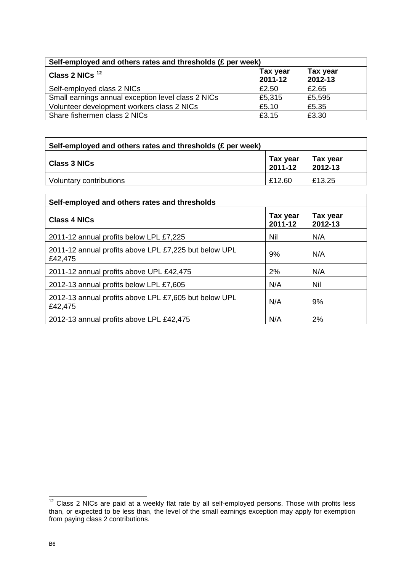| Self-employed and others rates and thresholds (£ per week) |                         |                     |  |
|------------------------------------------------------------|-------------------------|---------------------|--|
| Class 2 NICs <sup>12</sup>                                 | Tax year<br>$2011 - 12$ | Tax year<br>2012-13 |  |
| Self-employed class 2 NICs                                 | £2.50                   | £2.65               |  |
| Small earnings annual exception level class 2 NICs         | £5,315                  | £5,595              |  |
| Volunteer development workers class 2 NICs                 | £5.10                   | £5.35               |  |
| Share fishermen class 2 NICs                               | £3.15                   | £3.30               |  |

| Self-employed and others rates and thresholds (£ per week) |                     |                     |
|------------------------------------------------------------|---------------------|---------------------|
| <b>Class 3 NICs</b>                                        | Tax year<br>2011-12 | Tax year<br>2012-13 |
| Voluntary contributions                                    | £12.60              | £13.25              |

| Self-employed and others rates and thresholds                    |                     |                     |  |
|------------------------------------------------------------------|---------------------|---------------------|--|
| <b>Class 4 NICs</b>                                              | Tax year<br>2011-12 | Tax year<br>2012-13 |  |
| 2011-12 annual profits below LPL £7,225                          | Nil                 | N/A                 |  |
| 2011-12 annual profits above LPL £7,225 but below UPL<br>£42,475 | 9%                  | N/A                 |  |
| 2011-12 annual profits above UPL £42,475                         | 2%                  | N/A                 |  |
| 2012-13 annual profits below LPL £7,605                          | N/A                 | <b>Nil</b>          |  |
| 2012-13 annual profits above LPL £7,605 but below UPL<br>£42,475 | N/A                 | 9%                  |  |
| 2012-13 annual profits above LPL £42,475                         | N/A                 | 2%                  |  |

<span id="page-5-0"></span>  $12$  Class 2 NICs are paid at a weekly flat rate by all self-employed persons. Those with profits less than, or expected to be less than, the level of the small earnings exception may apply for exemption from paying class 2 contributions.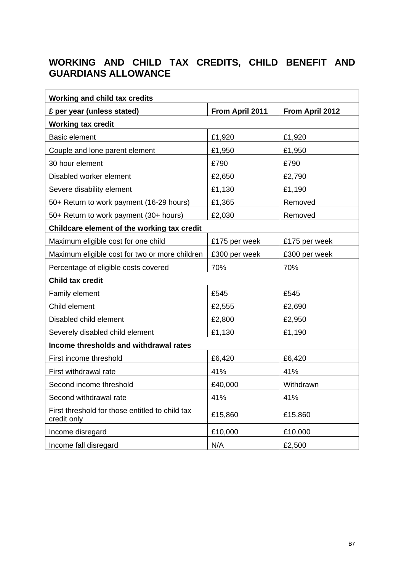# **WORKING AND CHILD TAX CREDITS, CHILD BENEFIT AND GUARDIANS ALLOWANCE**

| <b>Working and child tax credits</b>                           |                 |                 |  |
|----------------------------------------------------------------|-----------------|-----------------|--|
| £ per year (unless stated)                                     | From April 2011 | From April 2012 |  |
| <b>Working tax credit</b>                                      |                 |                 |  |
| <b>Basic element</b>                                           | £1,920          | £1,920          |  |
| Couple and lone parent element                                 | £1,950          | £1,950          |  |
| 30 hour element                                                | £790            | £790            |  |
| Disabled worker element                                        | £2,650          | £2,790          |  |
| Severe disability element                                      | £1,130          | £1,190          |  |
| 50+ Return to work payment (16-29 hours)                       | £1,365          | Removed         |  |
| 50+ Return to work payment (30+ hours)                         | £2,030          | Removed         |  |
| Childcare element of the working tax credit                    |                 |                 |  |
| Maximum eligible cost for one child                            | £175 per week   | £175 per week   |  |
| Maximum eligible cost for two or more children                 | £300 per week   | £300 per week   |  |
| Percentage of eligible costs covered                           | 70%             | 70%             |  |
| <b>Child tax credit</b>                                        |                 |                 |  |
| Family element                                                 | £545            | £545            |  |
| Child element                                                  | £2,555          | £2,690          |  |
| Disabled child element                                         | £2,800          | £2,950          |  |
| Severely disabled child element                                | £1,130          | £1,190          |  |
| Income thresholds and withdrawal rates                         |                 |                 |  |
| First income threshold                                         | £6,420          | £6,420          |  |
| First withdrawal rate                                          | 41%             | 41%             |  |
| Second income threshold                                        | £40,000         | Withdrawn       |  |
| Second withdrawal rate                                         | 41%             | 41%             |  |
| First threshold for those entitled to child tax<br>credit only | £15,860         | £15,860         |  |
| Income disregard                                               | £10,000         | £10,000         |  |
| Income fall disregard                                          | N/A             | £2,500          |  |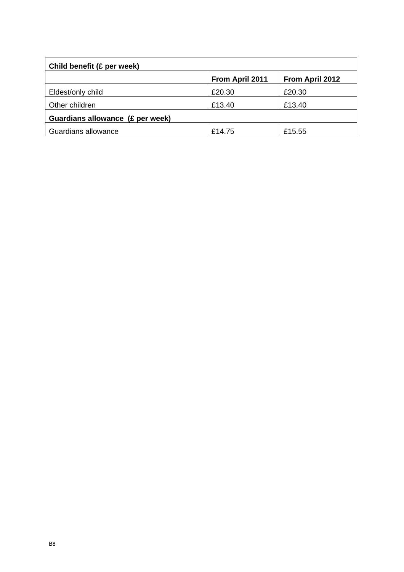| Child benefit (£ per week)       |                        |                        |  |
|----------------------------------|------------------------|------------------------|--|
|                                  | <b>From April 2011</b> | <b>From April 2012</b> |  |
| Eldest/only child                | £20.30                 | £20.30                 |  |
| Other children                   | £13.40                 | £13.40                 |  |
| Guardians allowance (£ per week) |                        |                        |  |
| Guardians allowance              | £14.75                 | £15.55                 |  |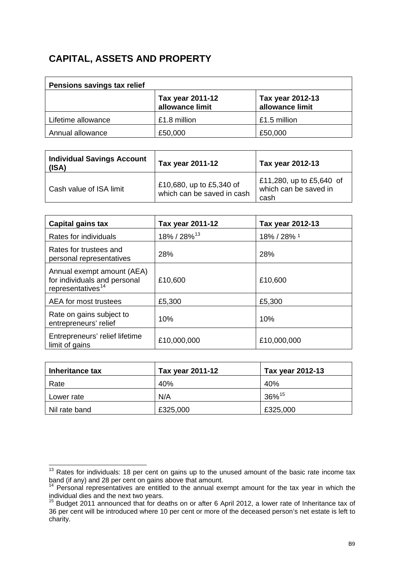## **CAPITAL, ASSETS AND PROPERTY**

| Pensions savings tax relief |                                     |                                     |  |
|-----------------------------|-------------------------------------|-------------------------------------|--|
|                             | Tax year 2011-12<br>allowance limit | Tax year 2012-13<br>allowance limit |  |
| Lifetime allowance          | £1.8 million                        | £1.5 million                        |  |
| Annual allowance            | £50,000                             | £50,000                             |  |

| <b>Individual Savings Account</b><br>(ISA) | Tax year 2011-12                                       | Tax year 2012-13                                          |
|--------------------------------------------|--------------------------------------------------------|-----------------------------------------------------------|
| Cash value of ISA limit                    | £10,680, up to £5,340 of<br>which can be saved in cash | £11,280, up to £5,640 of<br>which can be saved in<br>cash |

| Capital gains tax                                                                           | Tax year 2011-12        | Tax year 2012-13 |
|---------------------------------------------------------------------------------------------|-------------------------|------------------|
| Rates for individuals                                                                       | 18% / 28% <sup>13</sup> | 18% / 28% 1      |
| Rates for trustees and<br>personal representatives                                          | 28%                     | 28%              |
| Annual exempt amount (AEA)<br>for individuals and personal<br>representatives <sup>14</sup> | £10,600                 | £10,600          |
| AEA for most trustees                                                                       | £5,300                  | £5,300           |
| Rate on gains subject to<br>entrepreneurs' relief                                           | 10%                     | 10%              |
| Entrepreneurs' relief lifetime<br>limit of gains                                            | £10,000,000             | £10,000,000      |

| Inheritance tax | Tax year 2011-12 | Tax year 2012-13     |
|-----------------|------------------|----------------------|
| Rate            | 40%              | 40%                  |
| Lower rate      | N/A              | $36\%$ <sup>15</sup> |
| Nil rate band   | £325,000         | £325,000             |

<span id="page-8-0"></span>  $13$  Rates for individuals: 18 per cent on gains up to the unused amount of the basic rate income tax band (if any) and 28 per cent on gains above that amount.

<span id="page-8-1"></span><sup>&</sup>lt;sup>14</sup> Personal representatives are entitled to the annual exempt amount for the tax year in which the individual dies and the next two years.

<span id="page-8-2"></span><sup>&</sup>lt;sup>15</sup> Budget 2011 announced that for deaths on or after 6 April 2012, a lower rate of Inheritance tax of 36 per cent will be introduced where 10 per cent or more of the deceased person's net estate is left to charity.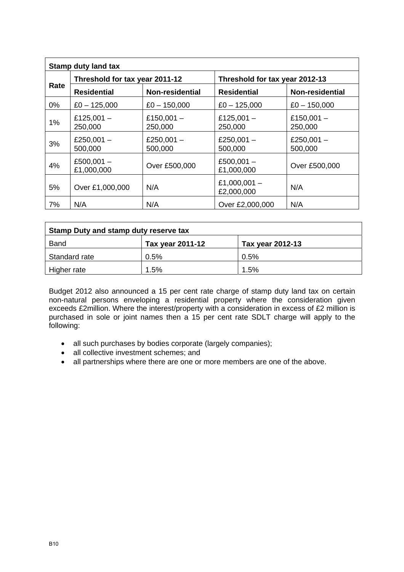| <b>Stamp duty land tax</b> |                                |                         |                                |                         |
|----------------------------|--------------------------------|-------------------------|--------------------------------|-------------------------|
|                            | Threshold for tax year 2011-12 |                         | Threshold for tax year 2012-13 |                         |
| Rate                       | <b>Residential</b>             | Non-residential         | <b>Residential</b>             | Non-residential         |
| $0\%$                      | $£0 - 125,000$                 | $£0 - 150,000$          | $£0 - 125,000$                 | $£0 - 150,000$          |
| 1%                         | £125,001 $-$<br>250,000        | £150,001 $-$<br>250,000 | £125,001 $-$<br>250,000        | £150,001 $-$<br>250,000 |
| 3%                         | £250,001 $-$<br>500,000        | £250,001 $-$<br>500,000 | £250,001 $-$<br>500,000        | £250,001 $-$<br>500,000 |
| 4%                         | £500,001 $-$<br>£1,000,000     | Over £500,000           | £500,001 $-$<br>£1,000,000     | Over £500,000           |
| 5%                         | Over £1,000,000                | N/A                     | £1,000,001 $-$<br>£2,000,000   | N/A                     |
| 7%                         | N/A                            | N/A                     | Over £2,000,000                | N/A                     |

| Stamp Duty and stamp duty reserve tax |                  |                  |  |
|---------------------------------------|------------------|------------------|--|
| <b>Band</b>                           | Tax year 2011-12 | Tax year 2012-13 |  |
| Standard rate                         | 0.5%             | 0.5%             |  |
| Higher rate                           | 1.5%             | 1.5%             |  |

Budget 2012 also announced a 15 per cent rate charge of stamp duty land tax on certain non-natural persons enveloping a residential property where the consideration given exceeds £2million. Where the interest/property with a consideration in excess of £2 million is purchased in sole or joint names then a 15 per cent rate SDLT charge will apply to the following:

- all such purchases by bodies corporate (largely companies);
- all collective investment schemes; and
- all partnerships where there are one or more members are one of the above.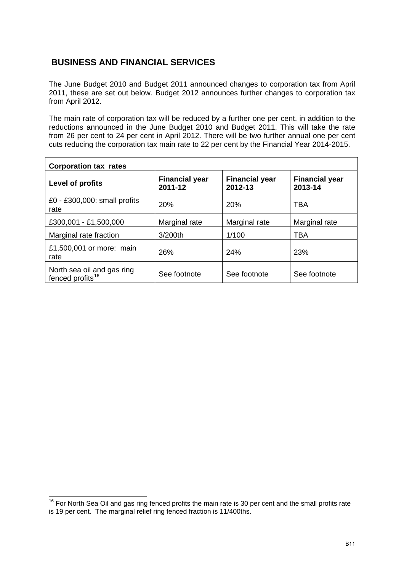## **BUSINESS AND FINANCIAL SERVICES**

The June Budget 2010 and Budget 2011 announced changes to corporation tax from April 2011, these are set out below. Budget 2012 announces further changes to corporation tax from April 2012.

The main rate of corporation tax will be reduced by a further one per cent, in addition to the reductions announced in the June Budget 2010 and Budget 2011. This will take the rate from 26 per cent to 24 per cent in April 2012. There will be two further annual one per cent cuts reducing the corporation tax main rate to 22 per cent by the Financial Year 2014-2015.

| <b>Corporation tax rates</b>                               |                                  |                                  |                                  |  |
|------------------------------------------------------------|----------------------------------|----------------------------------|----------------------------------|--|
| Level of profits                                           | <b>Financial year</b><br>2011-12 | <b>Financial year</b><br>2012-13 | <b>Financial year</b><br>2013-14 |  |
| £0 - £300,000: small profits<br>rate                       | 20%                              | 20%                              | TBA                              |  |
| £300,001 - £1,500,000                                      | Marginal rate                    | Marginal rate                    | Marginal rate                    |  |
| Marginal rate fraction                                     | 3/200th                          | 1/100                            | TBA                              |  |
| £1,500,001 or more: main<br>rate                           | 26%                              | 24%                              | 23%                              |  |
| North sea oil and gas ring<br>fenced profits <sup>16</sup> | See footnote                     | See footnote                     | See footnote                     |  |

<span id="page-10-0"></span> $16$  For North Sea Oil and gas ring fenced profits the main rate is 30 per cent and the small profits rate is 19 per cent. The marginal relief ring fenced fraction is 11/400ths.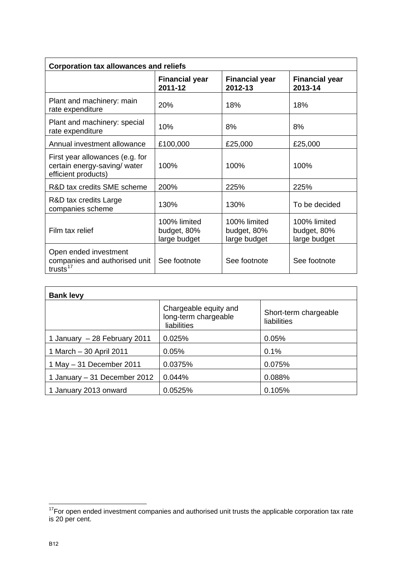| <b>Corporation tax allowances and reliefs</b>                                          |                                             |                                             |                                             |
|----------------------------------------------------------------------------------------|---------------------------------------------|---------------------------------------------|---------------------------------------------|
|                                                                                        | <b>Financial year</b><br>2011-12            | <b>Financial year</b><br>2012-13            | <b>Financial year</b><br>2013-14            |
| Plant and machinery: main<br>rate expenditure                                          | <b>20%</b>                                  | 18%                                         | 18%                                         |
| Plant and machinery: special<br>rate expenditure                                       | 10%                                         | 8%                                          | 8%                                          |
| Annual investment allowance                                                            | £100,000                                    | £25,000                                     | £25,000                                     |
| First year allowances (e.g. for<br>certain energy-saving/ water<br>efficient products) | 100%                                        | 100%                                        | 100%                                        |
| R&D tax credits SME scheme                                                             | 200%                                        | 225%                                        | 225%                                        |
| R&D tax credits Large<br>companies scheme                                              | 130%                                        | 130%                                        | To be decided                               |
| Film tax relief                                                                        | 100% limited<br>budget, 80%<br>large budget | 100% limited<br>budget, 80%<br>large budget | 100% limited<br>budget, 80%<br>large budget |
| Open ended investment<br>companies and authorised unit<br>trusts $17$                  | See footnote                                | See footnote                                | See footnote                                |

| <b>Bank levy</b>             |                                                              |                                      |  |  |
|------------------------------|--------------------------------------------------------------|--------------------------------------|--|--|
|                              | Chargeable equity and<br>long-term chargeable<br>liabilities | Short-term chargeable<br>liabilities |  |  |
| 1 January - 28 February 2011 | 0.025%                                                       | 0.05%                                |  |  |
| 1 March - 30 April 2011      | 0.05%                                                        | 0.1%                                 |  |  |
| 1 May $-31$ December 2011    | 0.0375%                                                      | 0.075%                               |  |  |
| 1 January - 31 December 2012 | 0.044%                                                       | 0.088%                               |  |  |
| 1 January 2013 onward        | 0.0525%                                                      | 0.105%                               |  |  |

<span id="page-11-0"></span>  $17$ For open ended investment companies and authorised unit trusts the applicable corporation tax rate is 20 per cent.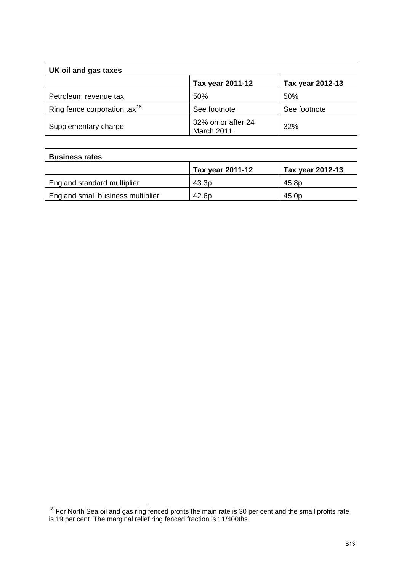| UK oil and gas taxes                     |                                  |                  |
|------------------------------------------|----------------------------------|------------------|
|                                          | Tax year 2011-12                 | Tax year 2012-13 |
| Petroleum revenue tax                    | 50%                              | 50%              |
| Ring fence corporation tax <sup>18</sup> | See footnote                     | See footnote     |
| Supplementary charge                     | 32% on or after 24<br>March 2011 | 32%              |

| <b>Business rates</b>             |                  |                  |  |
|-----------------------------------|------------------|------------------|--|
|                                   | Tax year 2011-12 | Tax year 2012-13 |  |
| England standard multiplier       | 43.3p            | 45.8p            |  |
| England small business multiplier | 42.6p            | 45.0p            |  |

<span id="page-12-0"></span>  $18$  For North Sea oil and gas ring fenced profits the main rate is 30 per cent and the small profits rate is 19 per cent. The marginal relief ring fenced fraction is 11/400ths.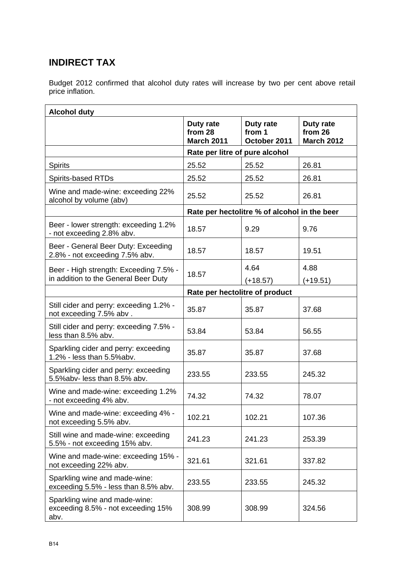# **INDIRECT TAX**

Budget 2012 confirmed that alcohol duty rates will increase by two per cent above retail price inflation.

| <b>Alcohol duty</b>                                                         |                                           |                                              |                                           |
|-----------------------------------------------------------------------------|-------------------------------------------|----------------------------------------------|-------------------------------------------|
|                                                                             | Duty rate<br>from 28<br><b>March 2011</b> | Duty rate<br>from 1<br>October 2011          | Duty rate<br>from 26<br><b>March 2012</b> |
|                                                                             | Rate per litre of pure alcohol            |                                              |                                           |
| <b>Spirits</b>                                                              | 25.52                                     | 25.52                                        | 26.81                                     |
| <b>Spirits-based RTDs</b>                                                   | 25.52                                     | 25.52                                        | 26.81                                     |
| Wine and made-wine: exceeding 22%<br>alcohol by volume (abv)                | 25.52                                     | 25.52                                        | 26.81                                     |
|                                                                             |                                           | Rate per hectolitre % of alcohol in the beer |                                           |
| Beer - lower strength: exceeding 1.2%<br>- not exceeding 2.8% abv.          | 18.57                                     | 9.29                                         | 9.76                                      |
| Beer - General Beer Duty: Exceeding<br>2.8% - not exceeding 7.5% abv.       | 18.57                                     | 18.57                                        | 19.51                                     |
| Beer - High strength: Exceeding 7.5% -                                      |                                           | 4.64                                         | 4.88                                      |
| in addition to the General Beer Duty                                        | 18.57                                     | $(+18.57)$                                   | $(+19.51)$                                |
|                                                                             | Rate per hectolitre of product            |                                              |                                           |
| Still cider and perry: exceeding 1.2% -<br>not exceeding 7.5% abv.          | 35.87                                     | 35.87                                        | 37.68                                     |
| Still cider and perry: exceeding 7.5% -<br>less than 8.5% abv.              | 53.84                                     | 53.84                                        | 56.55                                     |
| Sparkling cider and perry: exceeding<br>1.2% - less than 5.5%abv.           | 35.87                                     | 35.87                                        | 37.68                                     |
| Sparkling cider and perry: exceeding<br>5.5%abv- less than 8.5% abv.        | 233.55                                    | 233.55                                       | 245.32                                    |
| Wine and made-wine: exceeding 1.2%<br>- not exceeding 4% abv.               | 74.32                                     | 74.32                                        | 78.07                                     |
| Wine and made-wine: exceeding 4% -<br>not exceeding 5.5% abv.               | 102.21                                    | 102.21                                       | 107.36                                    |
| Still wine and made-wine: exceeding<br>5.5% - not exceeding 15% abv.        | 241.23                                    | 241.23                                       | 253.39                                    |
| Wine and made-wine: exceeding 15% -<br>not exceeding 22% abv.               | 321.61                                    | 321.61                                       | 337.82                                    |
| Sparkling wine and made-wine:<br>exceeding 5.5% - less than 8.5% abv.       | 233.55                                    | 233.55                                       | 245.32                                    |
| Sparkling wine and made-wine:<br>exceeding 8.5% - not exceeding 15%<br>abv. | 308.99                                    | 308.99                                       | 324.56                                    |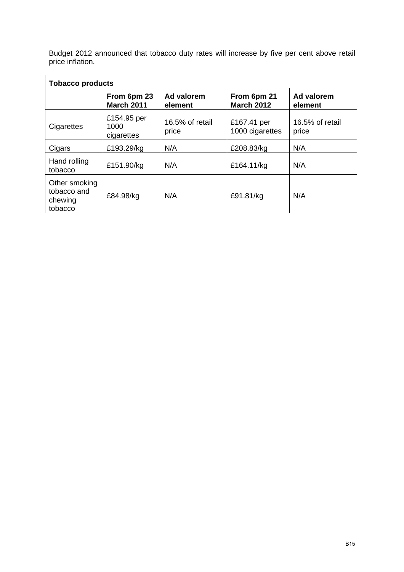Budget 2012 announced that tobacco duty rates will increase by five per cent above retail price inflation.

| <b>Tobacco products</b>                            |                                   |                          |                                  |                          |
|----------------------------------------------------|-----------------------------------|--------------------------|----------------------------------|--------------------------|
|                                                    | From 6pm 23<br><b>March 2011</b>  | Ad valorem<br>element    | From 6pm 21<br><b>March 2012</b> | Ad valorem<br>element    |
| Cigarettes                                         | £154.95 per<br>1000<br>cigarettes | 16.5% of retail<br>price | £167.41 per<br>1000 cigarettes   | 16.5% of retail<br>price |
| Cigars                                             | £193.29/kg                        | N/A                      | £208.83/kg                       | N/A                      |
| Hand rolling<br>tobacco                            | £151.90/kg                        | N/A                      | £164.11/kg                       | N/A                      |
| Other smoking<br>tobacco and<br>chewing<br>tobacco | £84.98/kg                         | N/A                      | £91.81/kg                        | N/A                      |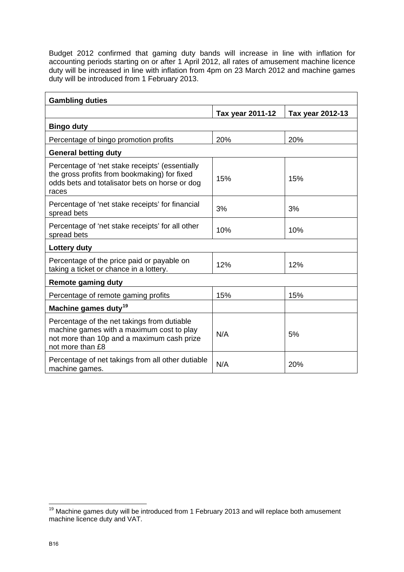Budget 2012 confirmed that gaming duty bands will increase in line with inflation for accounting periods starting on or after 1 April 2012, all rates of amusement machine licence duty will be increased in line with inflation from 4pm on 23 March 2012 and machine games duty will be introduced from 1 February 2013.

| <b>Gambling duties</b>                                                                                                                                     |                  |                  |  |  |
|------------------------------------------------------------------------------------------------------------------------------------------------------------|------------------|------------------|--|--|
|                                                                                                                                                            | Tax year 2011-12 | Tax year 2012-13 |  |  |
| <b>Bingo duty</b>                                                                                                                                          |                  |                  |  |  |
| Percentage of bingo promotion profits                                                                                                                      | 20%              | 20%              |  |  |
| <b>General betting duty</b>                                                                                                                                |                  |                  |  |  |
| Percentage of 'net stake receipts' (essentially<br>the gross profits from bookmaking) for fixed<br>odds bets and totalisator bets on horse or dog<br>races | 15%              | 15%              |  |  |
| Percentage of 'net stake receipts' for financial<br>spread bets                                                                                            | 3%               | 3%               |  |  |
| Percentage of 'net stake receipts' for all other<br>spread bets                                                                                            | 10%              | 10%              |  |  |
| Lottery duty                                                                                                                                               |                  |                  |  |  |
| Percentage of the price paid or payable on<br>taking a ticket or chance in a lottery.                                                                      | 12%              | 12%              |  |  |
| <b>Remote gaming duty</b>                                                                                                                                  |                  |                  |  |  |
| Percentage of remote gaming profits                                                                                                                        | 15%              | 15%              |  |  |
| Machine games duty <sup>19</sup>                                                                                                                           |                  |                  |  |  |
| Percentage of the net takings from dutiable<br>machine games with a maximum cost to play<br>not more than 10p and a maximum cash prize<br>not more than £8 | N/A              | 5%               |  |  |
| Percentage of net takings from all other dutiable<br>machine games.                                                                                        | N/A              | 20%              |  |  |

<span id="page-15-0"></span>  $19$  Machine games duty will be introduced from 1 February 2013 and will replace both amusement machine licence duty and VAT.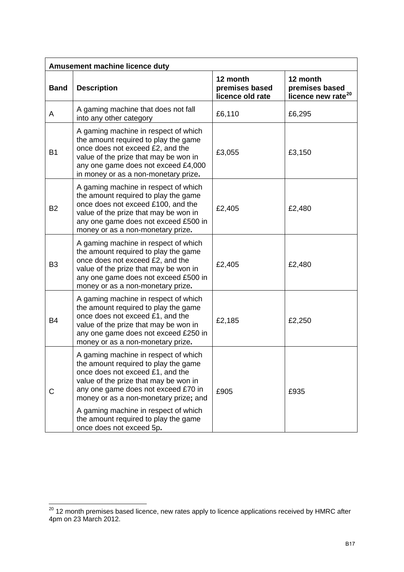| Amusement machine licence duty |                                                                                                                                                                                                                                                                                   |                                                |                                                              |  |  |
|--------------------------------|-----------------------------------------------------------------------------------------------------------------------------------------------------------------------------------------------------------------------------------------------------------------------------------|------------------------------------------------|--------------------------------------------------------------|--|--|
| <b>Band</b>                    | <b>Description</b>                                                                                                                                                                                                                                                                | 12 month<br>premises based<br>licence old rate | 12 month<br>premises based<br>licence new rate <sup>20</sup> |  |  |
| A                              | A gaming machine that does not fall<br>into any other category                                                                                                                                                                                                                    | £6,110                                         | £6,295                                                       |  |  |
| <b>B1</b>                      | A gaming machine in respect of which<br>the amount required to play the game<br>once does not exceed £2, and the<br>value of the prize that may be won in<br>any one game does not exceed £4,000<br>in money or as a non-monetary prize.                                          | £3,055                                         | £3,150                                                       |  |  |
| <b>B2</b>                      | A gaming machine in respect of which<br>the amount required to play the game<br>once does not exceed £100, and the<br>value of the prize that may be won in<br>any one game does not exceed £500 in<br>money or as a non-monetary prize.                                          | £2,405                                         | £2,480                                                       |  |  |
| B <sub>3</sub>                 | A gaming machine in respect of which<br>the amount required to play the game<br>once does not exceed £2, and the<br>value of the prize that may be won in<br>any one game does not exceed £500 in<br>money or as a non-monetary prize.                                            | £2,405                                         | £2,480                                                       |  |  |
| <b>B4</b>                      | A gaming machine in respect of which<br>the amount required to play the game<br>once does not exceed £1, and the<br>value of the prize that may be won in<br>any one game does not exceed £250 in<br>money or as a non-monetary prize.                                            | £2,185                                         | £2,250                                                       |  |  |
| С                              | A gaming machine in respect of which<br>the amount required to play the game<br>once does not exceed £1, and the<br>value of the prize that may be won in<br>any one game does not exceed £70 in<br>money or as a non-monetary prize; and<br>A gaming machine in respect of which | £905                                           | £935                                                         |  |  |
|                                | the amount required to play the game<br>once does not exceed 5p.                                                                                                                                                                                                                  |                                                |                                                              |  |  |

<span id="page-16-0"></span> $^{20}$  12 month premises based licence, new rates apply to licence applications received by HMRC after 4pm on 23 March 2012.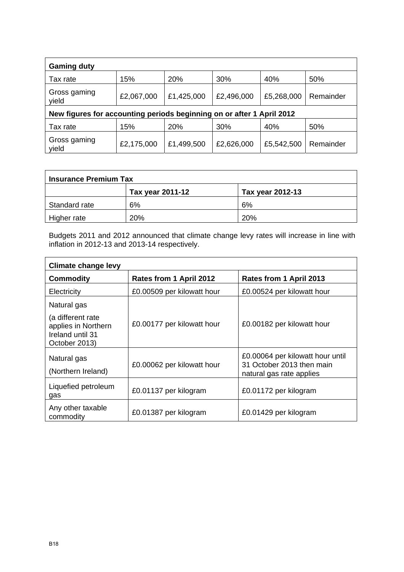| <b>Gaming duty</b>                                                    |            |            |            |            |           |  |
|-----------------------------------------------------------------------|------------|------------|------------|------------|-----------|--|
| Tax rate                                                              | 15%        | 20%        | 30%        | 40%        | 50%       |  |
| Gross gaming<br>yield                                                 | £2,067,000 | £1,425,000 | £2,496,000 | £5,268,000 | Remainder |  |
| New figures for accounting periods beginning on or after 1 April 2012 |            |            |            |            |           |  |
| Tax rate                                                              | 15%        | 20%        | 30%        | 40%        | 50%       |  |
| Gross gaming<br>yield                                                 | £2,175,000 | £1,499,500 | £2,626,000 | £5,542,500 | Remainder |  |

| <b>Insurance Premium Tax</b> |                  |                  |  |  |
|------------------------------|------------------|------------------|--|--|
|                              | Tax year 2011-12 | Tax year 2012-13 |  |  |
| Standard rate                | 6%               | 6%               |  |  |
| Higher rate                  | 20%              | 20%              |  |  |

Budgets 2011 and 2012 announced that climate change levy rates will increase in line with inflation in 2012-13 and 2013-14 respectively.

| <b>Climate change levy</b>                                                    |                            |                                                                                           |  |  |  |  |
|-------------------------------------------------------------------------------|----------------------------|-------------------------------------------------------------------------------------------|--|--|--|--|
| <b>Commodity</b>                                                              | Rates from 1 April 2012    | Rates from 1 April 2013                                                                   |  |  |  |  |
| Electricity                                                                   | £0.00509 per kilowatt hour | £0.00524 per kilowatt hour                                                                |  |  |  |  |
| Natural gas                                                                   |                            |                                                                                           |  |  |  |  |
| (a different rate<br>applies in Northern<br>Ireland until 31<br>October 2013) | £0.00177 per kilowatt hour | £0.00182 per kilowatt hour                                                                |  |  |  |  |
| Natural gas<br>(Northern Ireland)                                             | £0.00062 per kilowatt hour | £0.00064 per kilowatt hour until<br>31 October 2013 then main<br>natural gas rate applies |  |  |  |  |
| Liquefied petroleum<br>gas                                                    | £0.01137 per kilogram      | £0.01172 per kilogram                                                                     |  |  |  |  |
| Any other taxable<br>commodity                                                | £0.01387 per kilogram      | £0.01429 per kilogram                                                                     |  |  |  |  |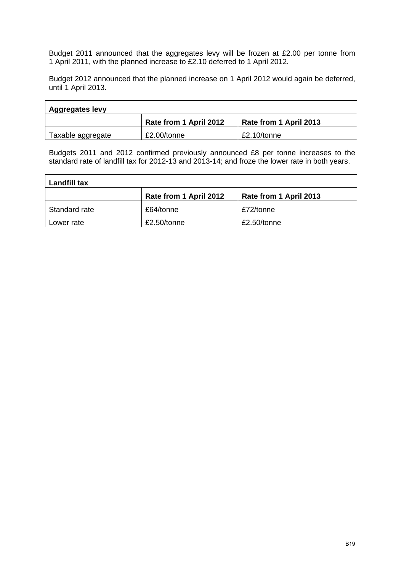Budget 2011 announced that the aggregates levy will be frozen at £2.00 per tonne from 1 April 2011, with the planned increase to £2.10 deferred to 1 April 2012.

Budget 2012 announced that the planned increase on 1 April 2012 would again be deferred, until 1 April 2013.

| <b>Aggregates levy</b> |                        |                        |  |  |  |
|------------------------|------------------------|------------------------|--|--|--|
|                        | Rate from 1 April 2012 | Rate from 1 April 2013 |  |  |  |
| Taxable aggregate      | £2.00/tonne            | £2.10/tonne            |  |  |  |

Budgets 2011 and 2012 confirmed previously announced £8 per tonne increases to the standard rate of landfill tax for 2012-13 and 2013-14; and froze the lower rate in both years.

| Landfill tax  |                        |                        |  |  |  |
|---------------|------------------------|------------------------|--|--|--|
|               | Rate from 1 April 2012 | Rate from 1 April 2013 |  |  |  |
| Standard rate | £64/tonne              | £72/tonne              |  |  |  |
| Lower rate    | £2.50/tonne            | £2.50/tonne            |  |  |  |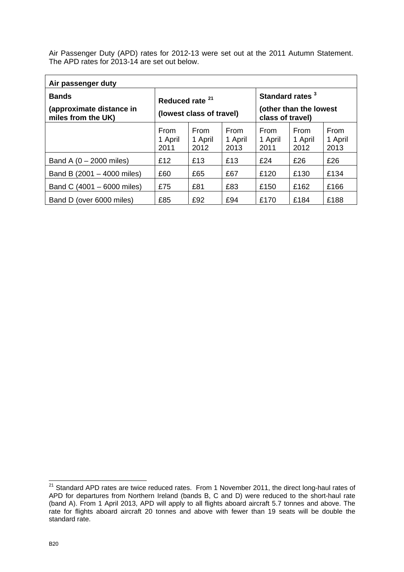Air Passenger Duty (APD) rates for 2012-13 were set out at the 2011 Autumn Statement. The APD rates for 2013-14 are set out below.

| Air passenger duty                                             |                                                        |                         |                                                 |                         |                         |                         |  |
|----------------------------------------------------------------|--------------------------------------------------------|-------------------------|-------------------------------------------------|-------------------------|-------------------------|-------------------------|--|
| <b>Bands</b><br>(approximate distance in<br>miles from the UK) | Reduced rate <sup>21</sup><br>(lowest class of travel) |                         | Standard rates <sup>3</sup><br>class of travel) |                         |                         | (other than the lowest  |  |
|                                                                | From<br>1 April<br>2011                                | From<br>1 April<br>2012 | From<br>1 April<br>2013                         | From<br>1 April<br>2011 | From<br>1 April<br>2012 | From<br>1 April<br>2013 |  |
| Band A $(0 - 2000$ miles)                                      | £12                                                    | £13                     | £13                                             | £24                     | £26                     | £26                     |  |
| Band B (2001 - 4000 miles)                                     | £60                                                    | £65                     | £67                                             | £120                    | £130                    | £134                    |  |
| Band C (4001 - 6000 miles)                                     | £75                                                    | £81                     | £83                                             | £150                    | £162                    | £166                    |  |
| Band D (over 6000 miles)                                       | £85                                                    | £92                     | £94                                             | £170                    | £184                    | £188                    |  |

<span id="page-19-0"></span> $21$  Standard APD rates are twice reduced rates. From 1 November 2011, the direct long-haul rates of APD for departures from Northern Ireland (bands B, C and D) were reduced to the short-haul rate (band A). From 1 April 2013, APD will apply to all flights aboard aircraft 5.7 tonnes and above. The rate for flights aboard aircraft 20 tonnes and above with fewer than 19 seats will be double the standard rate.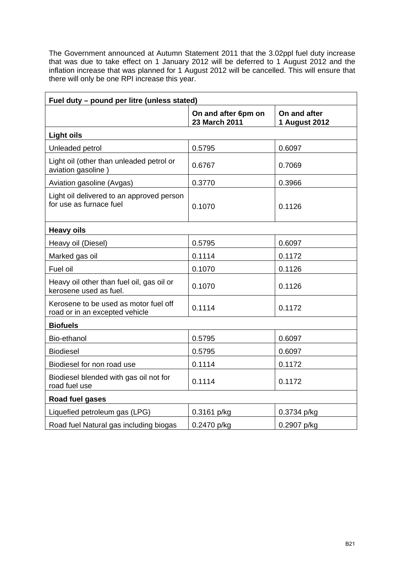The Government announced at Autumn Statement 2011 that the 3.02ppl fuel duty increase that was due to take effect on 1 January 2012 will be deferred to 1 August 2012 and the inflation increase that was planned for 1 August 2012 will be cancelled. This will ensure that there will only be one RPI increase this year.

| Fuel duty - pound per litre (unless stated)                             |                                      |                                      |  |  |
|-------------------------------------------------------------------------|--------------------------------------|--------------------------------------|--|--|
|                                                                         | On and after 6pm on<br>23 March 2011 | On and after<br><b>1 August 2012</b> |  |  |
| <b>Light oils</b>                                                       |                                      |                                      |  |  |
| Unleaded petrol                                                         | 0.5795                               | 0.6097                               |  |  |
| Light oil (other than unleaded petrol or<br>aviation gasoline)          | 0.6767                               | 0.7069                               |  |  |
| Aviation gasoline (Avgas)                                               | 0.3770                               | 0.3966                               |  |  |
| Light oil delivered to an approved person<br>for use as furnace fuel    | 0.1070                               | 0.1126                               |  |  |
| <b>Heavy oils</b>                                                       |                                      |                                      |  |  |
| Heavy oil (Diesel)                                                      | 0.5795                               | 0.6097                               |  |  |
| Marked gas oil                                                          | 0.1114                               | 0.1172                               |  |  |
| Fuel oil                                                                | 0.1070                               | 0.1126                               |  |  |
| Heavy oil other than fuel oil, gas oil or<br>kerosene used as fuel.     | 0.1070                               | 0.1126                               |  |  |
| Kerosene to be used as motor fuel off<br>road or in an excepted vehicle | 0.1114                               | 0.1172                               |  |  |
| <b>Biofuels</b>                                                         |                                      |                                      |  |  |
| Bio-ethanol                                                             | 0.5795                               | 0.6097                               |  |  |
| <b>Biodiesel</b>                                                        | 0.5795                               | 0.6097                               |  |  |
| Biodiesel for non road use                                              | 0.1114                               | 0.1172                               |  |  |
| Biodiesel blended with gas oil not for<br>road fuel use                 | 0.1114                               | 0.1172                               |  |  |
| Road fuel gases                                                         |                                      |                                      |  |  |
| Liquefied petroleum gas (LPG)                                           | 0.3161 p/kg                          | 0.3734 p/kg                          |  |  |
| Road fuel Natural gas including biogas                                  | 0.2470 p/kg                          | 0.2907 p/kg                          |  |  |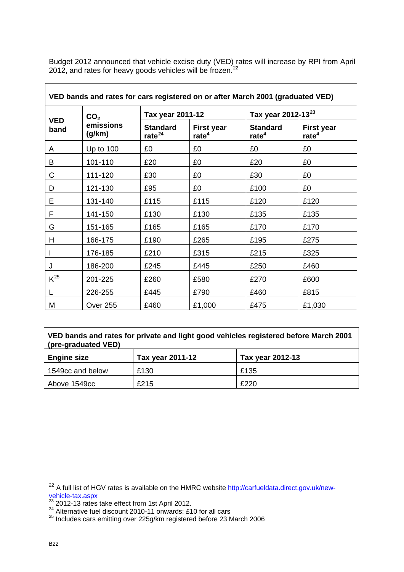Budget 2012 announced that vehicle excise duty (VED) rates will increase by RPI from April 2012, and rates for heavy goods vehicles will be frozen. $^{22}$  $^{22}$  $^{22}$ 

| VED bands and rates for cars registered on or after March 2001 (graduated VED) |                     |                                 |                                        |                                      |                                        |
|--------------------------------------------------------------------------------|---------------------|---------------------------------|----------------------------------------|--------------------------------------|----------------------------------------|
|                                                                                | CO <sub>2</sub>     | Tax year 2011-12                |                                        | Tax year 2012-13 <sup>23</sup>       |                                        |
| <b>VED</b><br>band                                                             | emissions<br>(g/km) | <b>Standard</b><br>rate $^{24}$ | <b>First year</b><br>rate <sup>4</sup> | <b>Standard</b><br>rate <sup>4</sup> | <b>First year</b><br>rate <sup>4</sup> |
| A                                                                              | Up to 100           | £0                              | £0                                     | £0                                   | £0                                     |
| B                                                                              | 101-110             | £20                             | £0                                     | £20                                  | £0                                     |
| C                                                                              | 111-120             | £30                             | £0                                     | £30                                  | £0                                     |
| D                                                                              | 121-130             | £95                             | £0                                     | £100                                 | £0                                     |
| E                                                                              | 131-140             | £115                            | £115                                   | £120                                 | £120                                   |
| F                                                                              | 141-150             | £130                            | £130                                   | £135                                 | £135                                   |
| G                                                                              | 151-165             | £165                            | £165                                   | £170                                 | £170                                   |
| Н                                                                              | 166-175             | £190                            | £265                                   | £195                                 | £275                                   |
| I                                                                              | 176-185             | £210                            | £315                                   | £215                                 | £325                                   |
| J                                                                              | 186-200             | £245                            | £445                                   | £250                                 | £460                                   |
| $K^{25}$                                                                       | 201-225             | £260                            | £580                                   | £270                                 | £600                                   |
|                                                                                | 226-255             | £445                            | £790                                   | £460                                 | £815                                   |
| M                                                                              | <b>Over 255</b>     | £460                            | £1,000                                 | £475                                 | £1,030                                 |

| VED bands and rates for private and light good vehicles registered before March 2001 |  |
|--------------------------------------------------------------------------------------|--|
| (pre-graduated VED)                                                                  |  |

| <b>Engine size</b> | Tax year 2011-12 | Tax year 2012-13 |
|--------------------|------------------|------------------|
| 1549cc and below   | £130             | £135             |
| Above 1549cc       | £215             | £220             |

<span id="page-21-0"></span> $\overline{a}$ <sup>22</sup> A full list of HGV rates is available on the HMRC website [http://carfueldata.direct.gov.uk/new](http://carfueldata.direct.gov.uk/new-vehicle-tax.aspx)[vehicle-tax.aspx](http://carfueldata.direct.gov.uk/new-vehicle-tax.aspx)

<span id="page-21-1"></span>

 $^{23}$  2012-13 rates take effect from 1st April 2012.<br><sup>24</sup> Alternative fuel discount 2010-11 onwards: £10 for all cars

<span id="page-21-3"></span><span id="page-21-2"></span> $^{25}$  Includes cars emitting over 225g/km registered before 23 March 2006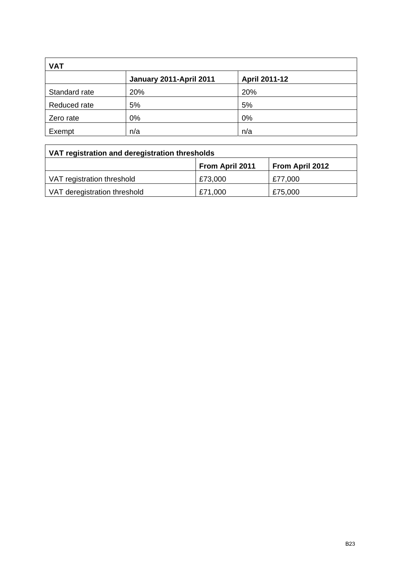| <b>VAT</b>    |                         |                      |  |  |
|---------------|-------------------------|----------------------|--|--|
|               | January 2011-April 2011 | <b>April 2011-12</b> |  |  |
| Standard rate | 20%                     | 20%                  |  |  |
| Reduced rate  | 5%                      | 5%                   |  |  |
| Zero rate     | 0%                      | 0%                   |  |  |
| Exempt        | n/a                     | n/a                  |  |  |

| VAT registration and deregistration thresholds |                 |                        |  |
|------------------------------------------------|-----------------|------------------------|--|
|                                                | From April 2011 | <b>From April 2012</b> |  |
| VAT registration threshold                     | £73,000         | £77,000                |  |
| VAT deregistration threshold                   | £71,000         | £75,000                |  |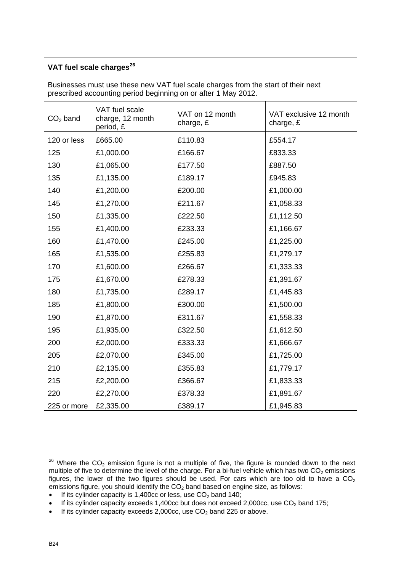### **VAT fuel scale charges[26](#page-23-0)**

Businesses must use these new VAT fuel scale charges from the start of their next prescribed accounting period beginning on or after 1 May 2012.

| $CO2$ band  | VAT fuel scale<br>charge, 12 month<br>period, £ | VAT on 12 month<br>charge, £ | VAT exclusive 12 month<br>charge, $E$ |
|-------------|-------------------------------------------------|------------------------------|---------------------------------------|
| 120 or less | £665.00                                         | £110.83                      | £554.17                               |
| 125         | £1,000.00                                       | £166.67                      | £833.33                               |
| 130         | £1,065.00                                       | £177.50                      | £887.50                               |
| 135         | £1,135.00                                       | £189.17                      | £945.83                               |
| 140         | £1,200.00                                       | £200.00                      | £1,000.00                             |
| 145         | £1,270.00                                       | £211.67                      | £1,058.33                             |
| 150         | £1,335.00                                       | £222.50                      | £1,112.50                             |
| 155         | £1,400.00                                       | £233.33                      | £1,166.67                             |
| 160         | £1,470.00                                       | £245.00                      | £1,225.00                             |
| 165         | £1,535.00                                       | £255.83                      | £1,279.17                             |
| 170         | £1,600.00                                       | £266.67                      | £1,333.33                             |
| 175         | £1,670.00                                       | £278.33                      | £1,391.67                             |
| 180         | £1,735.00                                       | £289.17                      | £1,445.83                             |
| 185         | £1,800.00                                       | £300.00                      | £1,500.00                             |
| 190         | £1,870.00                                       | £311.67                      | £1,558.33                             |
| 195         | £1,935.00                                       | £322.50                      | £1,612.50                             |
| 200         | £2,000.00                                       | £333.33                      | £1,666.67                             |
| 205         | £2,070.00                                       | £345.00                      | £1,725.00                             |
| 210         | £2,135.00                                       | £355.83                      | £1,779.17                             |
| 215         | £2,200.00                                       | £366.67                      | £1,833.33                             |
| 220         | £2,270.00                                       | £378.33                      | £1,891.67                             |
| 225 or more | £2,335.00                                       | £389.17                      | £1,945.83                             |

<span id="page-23-0"></span>  $26$  Where the CO<sub>2</sub> emission figure is not a multiple of five, the figure is rounded down to the next multiple of five to determine the level of the charge. For a bi-fuel vehicle which has two  $CO<sub>2</sub>$  emissions figures, the lower of the two figures should be used. For cars which are too old to have a  $CO<sub>2</sub>$ emissions figure, you should identify the  $CO<sub>2</sub>$  band based on engine size, as follows:

<sup>•</sup> If its cylinder capacity is 1,400cc or less, use  $CO<sub>2</sub>$  band 140;

<sup>•</sup> If its cylinder capacity exceeds 1,400cc but does not exceed 2,000cc, use  $CO<sub>2</sub>$  band 175;

<sup>•</sup> If its cylinder capacity exceeds 2,000cc, use  $CO<sub>2</sub>$  band 225 or above.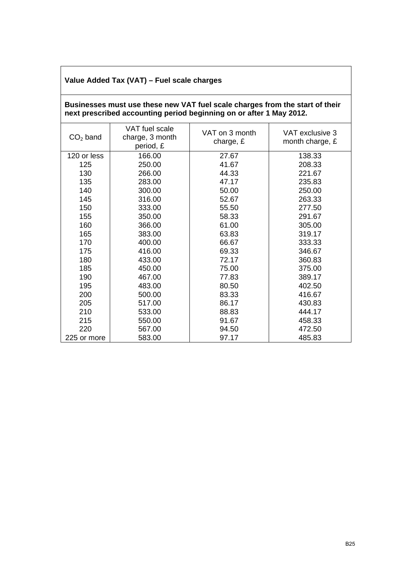### **Value Added Tax (VAT) – Fuel scale charges**

### **Businesses must use these new VAT fuel scale charges from the start of their next prescribed accounting period beginning on or after 1 May 2012.**

| $CO2$ band  | VAT fuel scale<br>charge, 3 month<br>period, £ | VAT on 3 month<br>charge, £ | VAT exclusive 3<br>month charge, £ |
|-------------|------------------------------------------------|-----------------------------|------------------------------------|
| 120 or less | 166.00                                         | 27.67                       | 138.33                             |
| 125         | 250.00                                         | 41.67                       | 208.33                             |
| 130         | 266.00                                         | 44.33                       | 221.67                             |
| 135         | 283.00                                         | 47.17                       | 235.83                             |
| 140         | 300.00                                         | 50.00                       | 250.00                             |
| 145         | 316.00                                         | 52.67                       | 263.33                             |
| 150         | 333.00                                         | 55.50                       | 277.50                             |
| 155         | 350.00                                         | 58.33                       | 291.67                             |
| 160         | 366.00                                         | 61.00                       | 305.00                             |
| 165         | 383.00                                         | 63.83                       | 319.17                             |
| 170         | 400.00                                         | 66.67                       | 333.33                             |
| 175         | 416.00                                         | 69.33                       | 346.67                             |
| 180         | 433.00                                         | 72.17                       | 360.83                             |
| 185         | 450.00                                         | 75.00                       | 375.00                             |
| 190         | 467.00                                         | 77.83                       | 389.17                             |
| 195         | 483.00                                         | 80.50                       | 402.50                             |
| 200         | 500.00                                         | 83.33                       | 416.67                             |
| 205         | 517.00                                         | 86.17                       | 430.83                             |
| 210         | 533.00                                         | 88.83                       | 444.17                             |
| 215         | 550.00                                         | 91.67                       | 458.33                             |
| 220         | 567.00                                         | 94.50                       | 472.50                             |
| 225 or more | 583.00                                         | 97.17                       | 485.83                             |